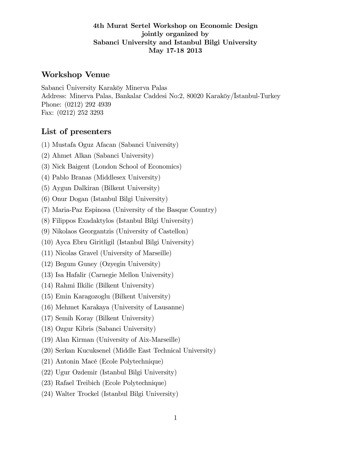#### 4th Murat Sertel Workshop on Economic Design jointly organized by Sabanci University and Istanbul Bilgi University May 17-18 2013

## Workshop Venue

Sabanci Üniversity Karaköy Minerva Palas Address: Minerva Palas, Bankalar Caddesi No:2, 80020 Karaköy/Istanbul-Turkey Phone: (0212) 292 4939 Fax: (0212) 252 3293

# List of presenters

- (1) Mustafa Oguz Afacan (Sabanci University)
- (2) Ahmet Alkan (Sabanci University)
- (3) Nick Baigent (London School of Economics)
- (4) Pablo Branas (Middlesex University)
- (5) Aygun Dalkiran (Bilkent University)
- (6) Onur Dogan (Istanbul Bilgi University)
- (7) Maria-Paz Espinosa (University of the Basque Country)
- (8) Filippos Exadaktylos (Istanbul Bilgi University)
- (9) Nikolaos Georgantzis (University of Castellon)
- (10) Ayca Ebru Giritligil (Istanbul Bilgi University)
- (11) Nicolas Gravel (University of Marseille)
- (12) Begum Guney (Ozyegin University)
- (13) Isa Hafalir (Carnegie Mellon University)
- (14) Rahmi Ilkilic (Bilkent University)
- (15) Emin Karagozoglu (Bilkent University)
- (16) Mehmet Karakaya (University of Lausanne)
- (17) Semih Koray (Bilkent University)
- (18) Ozgur Kibris (Sabanci University)
- (19) Alan Kirman (University of Aix-Marseille)
- (20) Serkan Kucuksenel (Middle East Technical University)
- (21) Antonin MacÈ (Ecole Polytechnique)
- (22) Ugur Ozdemir (Istanbul Bilgi University)
- (23) Rafael Treibich (Ecole Polytechnique)
- (24) Walter Trockel (Istanbul Bilgi University)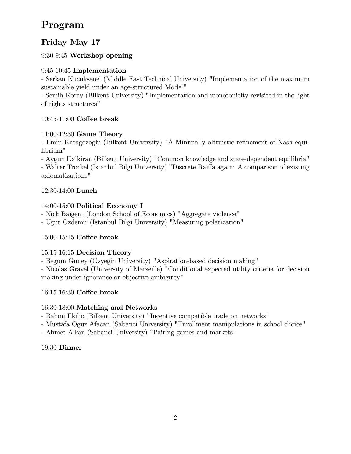# Program

# Friday May 17

9:30-9:45 Workshop opening

## 9:45-10:45 Implementation

- Serkan Kucuksenel (Middle East Technical University) "Implementation of the maximum sustainable yield under an age-structured Model"

- Semih Koray (Bilkent University) "Implementation and monotonicity revisited in the light of rights structures"

# $10:45-11:00$  Coffee break

# 11:00-12:30 Game Theory

- Emin Karagozoglu (Bilkent University) "A Minimally altruistic refinement of Nash equilibrium"

- Aygun Dalkiran (Bilkent University) "Common knowledge and state-dependent equilibria"

- Walter Trockel (Istanbul Bilgi University) "Discrete Raiffa again: A comparison of existing axiomatizations"

# 12:30-14:00 Lunch

# 14:00-15:00 Political Economy I

- Nick Baigent (London School of Economics) "Aggregate violence"

- Ugur Ozdemir (Istanbul Bilgi University) "Measuring polarization"

# 15:00-15:15 Coffee break

## 15:15-16:15 Decision Theory

- Begum Guney (Ozyegin University) "Aspiration-based decision making"

- Nicolas Gravel (University of Marseille) "Conditional expected utility criteria for decision making under ignorance or objective ambiguity"

## 16:15-16:30 Coffee break

## 16:30-18:00 Matching and Networks

- Rahmi Ilkilic (Bilkent University) "Incentive compatible trade on networks"

- Mustafa Oguz Afacan (Sabanci University) "Enrollment manipulations in school choice"

- Ahmet Alkan (Sabanci University) "Pairing games and markets"

## 19:30 Dinner